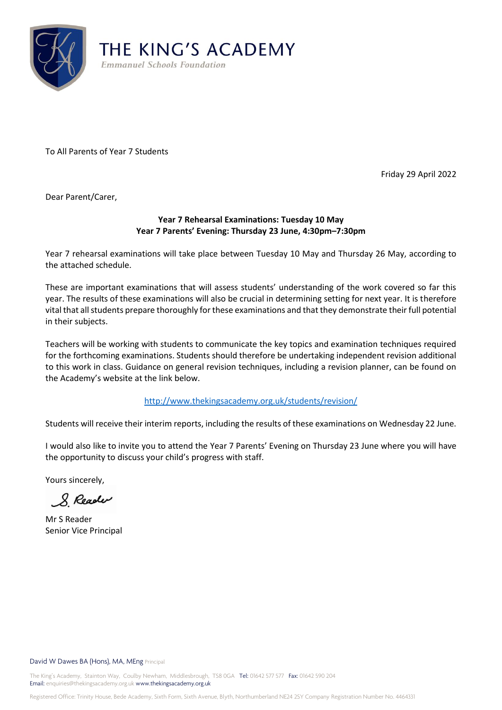

To All Parents of Year 7 Students

Friday 29 April 2022

Dear Parent/Carer,

## **Year 7 Rehearsal Examinations: Tuesday 10 May Year 7 Parents' Evening: Thursday 23 June, 4:30pm–7:30pm**

Year 7 rehearsal examinations will take place between Tuesday 10 May and Thursday 26 May, according to the attached schedule.

These are important examinations that will assess students' understanding of the work covered so far this year. The results of these examinations will also be crucial in determining setting for next year. It is therefore vital that all students prepare thoroughly for these examinations and that they demonstrate their full potential in their subjects.

Teachers will be working with students to communicate the key topics and examination techniques required for the forthcoming examinations. Students should therefore be undertaking independent revision additional to this work in class. Guidance on general revision techniques, including a revision planner, can be found on the Academy's website at the link below.

<http://www.thekingsacademy.org.uk/students/revision/>

Students will receive their interim reports, including the results of these examinations on Wednesday 22 June.

I would also like to invite you to attend the Year 7 Parents' Evening on Thursday 23 June where you will have the opportunity to discuss your child's progress with staff.

Yours sincerely,

8 Reader

Mr S Reader Senior Vice Principal

David W Dawes BA (Hons), MA, MEng Principal

The King's Academy, Stainton Way, Coulby Newham, Middlesbrough, TS8 0GA Tel: 01642 577 577 Fax: 01642 590 204 Email: enquiries@thekingsacademy.org.uk www.thekingsacademy.org.uk

Registered Office: Trinity House, Bede Academy, Sixth Form, Sixth Avenue, Blyth, Northumberland NE24 2SY Company Registration Number No. 4464331